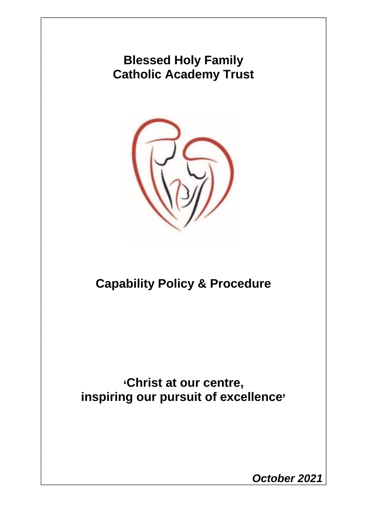# **Blessed Holy Family Catholic Academy Trust**



# **Capability Policy & Procedure**

**'Christ at our centre, inspiring our pursuit of excellence'**

*October 2021*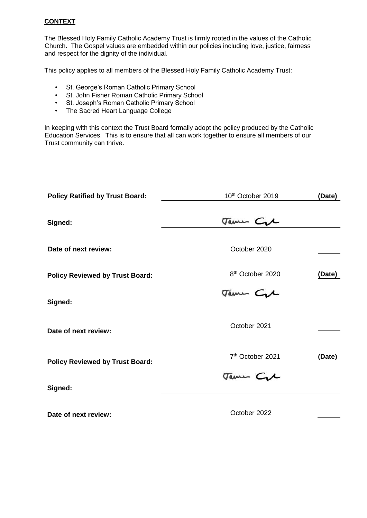## **CONTEXT**

The Blessed Holy Family Catholic Academy Trust is firmly rooted in the values of the Catholic Church. The Gospel values are embedded within our policies including love, justice, fairness and respect for the dignity of the individual.

This policy applies to all members of the Blessed Holy Family Catholic Academy Trust:

- St. George's Roman Catholic Primary School
- St. John Fisher Roman Catholic Primary School
- St. Joseph's Roman Catholic Primary School
- The Sacred Heart Language College

In keeping with this context the Trust Board formally adopt the policy produced by the Catholic Education Services. This is to ensure that all can work together to ensure all members of our Trust community can thrive.

| <b>Policy Ratified by Trust Board:</b> | 10 <sup>th</sup> October 2019 | (Date) |
|----------------------------------------|-------------------------------|--------|
|                                        |                               |        |
| Signed:                                | Jame Cre                      |        |
| Date of next review:                   | October 2020                  |        |
| <b>Policy Reviewed by Trust Board:</b> | 8 <sup>th</sup> October 2020  | (Date) |
| Signed:                                | Jame Cre                      |        |
| Date of next review:                   | October 2021                  |        |
| <b>Policy Reviewed by Trust Board:</b> | 7 <sup>th</sup> October 2021  | (Date) |
| Signed:                                | Jame Cre                      |        |
| Date of next review:                   | October 2022                  |        |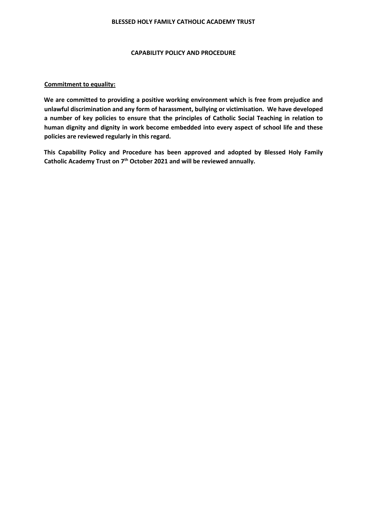#### **BLESSED HOLY FAMILY CATHOLIC ACADEMY TRUST**

#### **CAPABILITY POLICY AND PROCEDURE**

#### **Commitment to equality:**

**We are committed to providing a positive working environment which is free from prejudice and unlawful discrimination and any form of harassment, bullying or victimisation. We have developed a number of key policies to ensure that the principles of Catholic Social Teaching in relation to human dignity and dignity in work become embedded into every aspect of school life and these policies are reviewed regularly in this regard.** 

**This Capability Policy and Procedure has been approved and adopted by Blessed Holy Family Catholic Academy Trust on 7th October 2021 and will be reviewed annually.**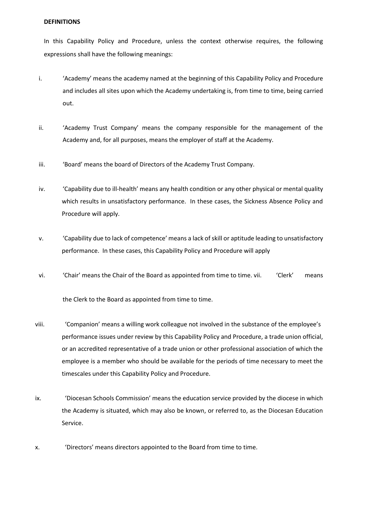#### **DEFINITIONS**

In this Capability Policy and Procedure, unless the context otherwise requires, the following expressions shall have the following meanings:

- i. 'Academy' means the academy named at the beginning of this Capability Policy and Procedure and includes all sites upon which the Academy undertaking is, from time to time, being carried out.
- ii. 'Academy Trust Company' means the company responsible for the management of the Academy and, for all purposes, means the employer of staff at the Academy.
- iii. 'Board' means the board of Directors of the Academy Trust Company.
- iv. 'Capability due to ill-health' means any health condition or any other physical or mental quality which results in unsatisfactory performance. In these cases, the Sickness Absence Policy and Procedure will apply.
- v. 'Capability due to lack of competence' means a lack of skill or aptitude leading to unsatisfactory performance. In these cases, this Capability Policy and Procedure will apply
- vi. 'Chair' means the Chair of the Board as appointed from time to time. vii. 'Clerk' means

the Clerk to the Board as appointed from time to time.

- viii. 'Companion' means a willing work colleague not involved in the substance of the employee's performance issues under review by this Capability Policy and Procedure, a trade union official, or an accredited representative of a trade union or other professional association of which the employee is a member who should be available for the periods of time necessary to meet the timescales under this Capability Policy and Procedure.
- ix. 'Diocesan Schools Commission' means the education service provided by the diocese in which the Academy is situated, which may also be known, or referred to, as the Diocesan Education Service.
- x. 'Directors' means directors appointed to the Board from time to time.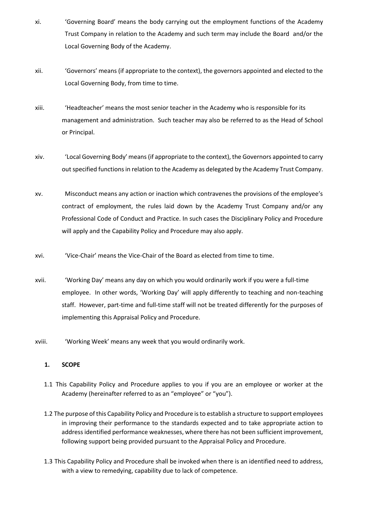- xi. 'Governing Board' means the body carrying out the employment functions of the Academy Trust Company in relation to the Academy and such term may include the Board and/or the Local Governing Body of the Academy.
- xii. 'Governors' means (if appropriate to the context), the governors appointed and elected to the Local Governing Body, from time to time.
- xiii. 'Headteacher' means the most senior teacher in the Academy who is responsible for its management and administration. Such teacher may also be referred to as the Head of School or Principal.
- xiv. 'Local Governing Body' means(if appropriate to the context), the Governors appointed to carry out specified functions in relation to the Academy as delegated by the Academy Trust Company.
- xv. Misconduct means any action or inaction which contravenes the provisions of the employee's contract of employment, the rules laid down by the Academy Trust Company and/or any Professional Code of Conduct and Practice. In such cases the Disciplinary Policy and Procedure will apply and the Capability Policy and Procedure may also apply.
- xvi. 'Vice-Chair' means the Vice-Chair of the Board as elected from time to time.
- xvii. 'Working Day' means any day on which you would ordinarily work if you were a full-time employee. In other words, 'Working Day' will apply differently to teaching and non-teaching staff. However, part-time and full-time staff will not be treated differently for the purposes of implementing this Appraisal Policy and Procedure.
- xviii. 'Working Week' means any week that you would ordinarily work.

## **1. SCOPE**

- 1.1 This Capability Policy and Procedure applies to you if you are an employee or worker at the Academy (hereinafter referred to as an "employee" or "you").
- 1.2 The purpose of this Capability Policy and Procedure is to establish a structure to support employees in improving their performance to the standards expected and to take appropriate action to address identified performance weaknesses, where there has not been sufficient improvement, following support being provided pursuant to the Appraisal Policy and Procedure.
- 1.3 This Capability Policy and Procedure shall be invoked when there is an identified need to address, with a view to remedying, capability due to lack of competence.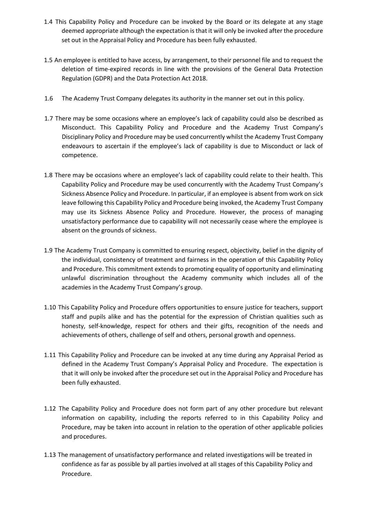- 1.4 This Capability Policy and Procedure can be invoked by the Board or its delegate at any stage deemed appropriate although the expectation is that it will only be invoked after the procedure set out in the Appraisal Policy and Procedure has been fully exhausted.
- 1.5 An employee is entitled to have access, by arrangement, to their personnel file and to request the deletion of time-expired records in line with the provisions of the General Data Protection Regulation (GDPR) and the Data Protection Act 2018.
- 1.6 The Academy Trust Company delegates its authority in the manner set out in this policy.
- 1.7 There may be some occasions where an employee's lack of capability could also be described as Misconduct. This Capability Policy and Procedure and the Academy Trust Company's Disciplinary Policy and Procedure may be used concurrently whilst the Academy Trust Company endeavours to ascertain if the employee's lack of capability is due to Misconduct or lack of competence.
- 1.8 There may be occasions where an employee's lack of capability could relate to their health. This Capability Policy and Procedure may be used concurrently with the Academy Trust Company's Sickness Absence Policy and Procedure. In particular, if an employee is absent from work on sick leave following this Capability Policy and Procedure being invoked, the Academy Trust Company may use its Sickness Absence Policy and Procedure. However, the process of managing unsatisfactory performance due to capability will not necessarily cease where the employee is absent on the grounds of sickness.
- 1.9 The Academy Trust Company is committed to ensuring respect, objectivity, belief in the dignity of the individual, consistency of treatment and fairness in the operation of this Capability Policy and Procedure. This commitment extends to promoting equality of opportunity and eliminating unlawful discrimination throughout the Academy community which includes all of the academies in the Academy Trust Company's group.
- 1.10 This Capability Policy and Procedure offers opportunities to ensure justice for teachers, support staff and pupils alike and has the potential for the expression of Christian qualities such as honesty, self-knowledge, respect for others and their gifts, recognition of the needs and achievements of others, challenge of self and others, personal growth and openness.
- 1.11 This Capability Policy and Procedure can be invoked at any time during any Appraisal Period as defined in the Academy Trust Company's Appraisal Policy and Procedure. The expectation is that it will only be invoked after the procedure set out in the Appraisal Policy and Procedure has been fully exhausted.
- 1.12 The Capability Policy and Procedure does not form part of any other procedure but relevant information on capability, including the reports referred to in this Capability Policy and Procedure, may be taken into account in relation to the operation of other applicable policies and procedures.
- 1.13 The management of unsatisfactory performance and related investigations will be treated in confidence as far as possible by all parties involved at all stages of this Capability Policy and Procedure.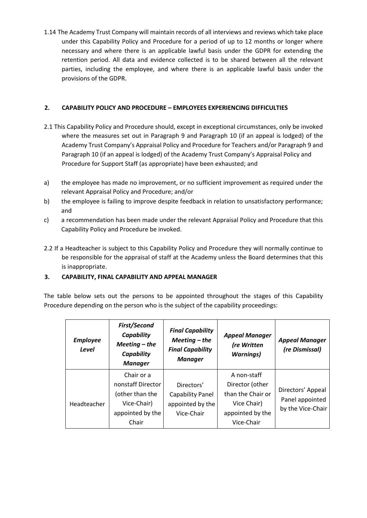1.14 The Academy Trust Company will maintain records of all interviews and reviews which take place under this Capability Policy and Procedure for a period of up to 12 months or longer where necessary and where there is an applicable lawful basis under the GDPR for extending the retention period. All data and evidence collected is to be shared between all the relevant parties, including the employee, and where there is an applicable lawful basis under the provisions of the GDPR.

## **2. CAPABILITY POLICY AND PROCEDURE – EMPLOYEES EXPERIENCING DIFFICULTIES**

- 2.1 This Capability Policy and Procedure should, except in exceptional circumstances, only be invoked where the measures set out in Paragraph 9 and Paragraph 10 (if an appeal is lodged) of the Academy Trust Company's Appraisal Policy and Procedure for Teachers and/or Paragraph 9 and Paragraph 10 (if an appeal is lodged) of the Academy Trust Company's Appraisal Policy and Procedure for Support Staff (as appropriate) have been exhausted; and
- a) the employee has made no improvement, or no sufficient improvement as required under the relevant Appraisal Policy and Procedure; and/or
- b) the employee is failing to improve despite feedback in relation to unsatisfactory performance; and
- c) a recommendation has been made under the relevant Appraisal Policy and Procedure that this Capability Policy and Procedure be invoked.
- 2.2 If a Headteacher is subject to this Capability Policy and Procedure they will normally continue to be responsible for the appraisal of staff at the Academy unless the Board determines that this is inappropriate.

# **3. CAPABILITY, FINAL CAPABILITY AND APPEAL MANAGER**

The table below sets out the persons to be appointed throughout the stages of this Capability Procedure depending on the person who is the subject of the capability proceedings:

| <b>Employee</b><br>Level | <b>First/Second</b><br>Capability<br>$Meeting$ – the<br>Capability<br><b>Manager</b> | <b>Final Capability</b><br>$Meeting$ – the<br><b>Final Capability</b><br><b>Manager</b> | <b>Appeal Manager</b><br>(re Written<br><b>Warnings</b> ) | <b>Appeal Manager</b><br>(re Dismissal) |
|--------------------------|--------------------------------------------------------------------------------------|-----------------------------------------------------------------------------------------|-----------------------------------------------------------|-----------------------------------------|
|                          | Chair or a                                                                           |                                                                                         | A non-staff                                               |                                         |
|                          | nonstaff Director                                                                    | Directors'                                                                              | Director (other                                           |                                         |
|                          | (other than the                                                                      | Capability Panel                                                                        | than the Chair or                                         | Directors' Appeal                       |
| Headteacher              | Vice-Chair)                                                                          | appointed by the                                                                        | Vice Chair)                                               | Panel appointed                         |
|                          | appointed by the                                                                     | Vice-Chair                                                                              | appointed by the                                          | by the Vice-Chair                       |
|                          | Chair                                                                                |                                                                                         | Vice-Chair                                                |                                         |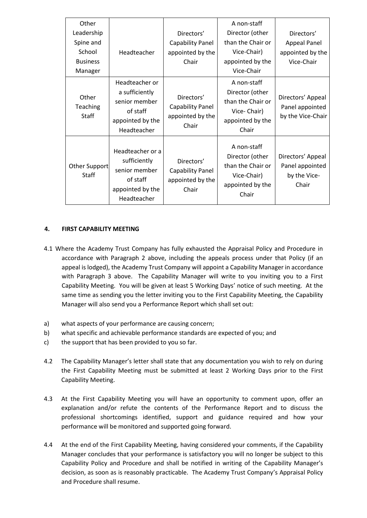| Other                         |                                                                                                  |                                                                    | A non-staff                                                                                     |                                                               |
|-------------------------------|--------------------------------------------------------------------------------------------------|--------------------------------------------------------------------|-------------------------------------------------------------------------------------------------|---------------------------------------------------------------|
| Leadership                    |                                                                                                  | Directors'                                                         | Director (other                                                                                 | Directors'                                                    |
| Spine and                     |                                                                                                  | <b>Capability Panel</b>                                            | than the Chair or                                                                               | <b>Appeal Panel</b>                                           |
| School                        | Headteacher                                                                                      | appointed by the                                                   | Vice-Chair)                                                                                     | appointed by the                                              |
| <b>Business</b>               |                                                                                                  | Chair                                                              | appointed by the                                                                                | Vice-Chair                                                    |
| Manager                       |                                                                                                  |                                                                    | Vice-Chair                                                                                      |                                                               |
| Other<br>Teaching<br>Staff    | Headteacher or<br>a sufficiently<br>senior member<br>of staff<br>appointed by the<br>Headteacher | Directors'<br><b>Capability Panel</b><br>appointed by the<br>Chair | A non-staff<br>Director (other<br>than the Chair or<br>Vice-Chair)<br>appointed by the<br>Chair | Directors' Appeal<br>Panel appointed<br>by the Vice-Chair     |
| Other Support<br><b>Staff</b> | Headteacher or a<br>sufficiently<br>senior member<br>of staff<br>appointed by the<br>Headteacher | Directors'<br>Capability Panel<br>appointed by the<br>Chair        | A non-staff<br>Director (other<br>than the Chair or<br>Vice-Chair)<br>appointed by the<br>Chair | Directors' Appeal<br>Panel appointed<br>by the Vice-<br>Chair |

#### **4. FIRST CAPABILITY MEETING**

- 4.1 Where the Academy Trust Company has fully exhausted the Appraisal Policy and Procedure in accordance with Paragraph 2 above, including the appeals process under that Policy (if an appeal is lodged), the Academy Trust Company will appoint a Capability Manager in accordance with Paragraph 3 above. The Capability Manager will write to you inviting you to a First Capability Meeting. You will be given at least 5 Working Days' notice of such meeting. At the same time as sending you the letter inviting you to the First Capability Meeting, the Capability Manager will also send you a Performance Report which shall set out:
- a) what aspects of your performance are causing concern;
- b) what specific and achievable performance standards are expected of you; and
- c) the support that has been provided to you so far.
- 4.2 The Capability Manager's letter shall state that any documentation you wish to rely on during the First Capability Meeting must be submitted at least 2 Working Days prior to the First Capability Meeting.
- 4.3 At the First Capability Meeting you will have an opportunity to comment upon, offer an explanation and/or refute the contents of the Performance Report and to discuss the professional shortcomings identified, support and guidance required and how your performance will be monitored and supported going forward.
- 4.4 At the end of the First Capability Meeting, having considered your comments, if the Capability Manager concludes that your performance is satisfactory you will no longer be subject to this Capability Policy and Procedure and shall be notified in writing of the Capability Manager's decision, as soon as is reasonably practicable. The Academy Trust Company's Appraisal Policy and Procedure shall resume.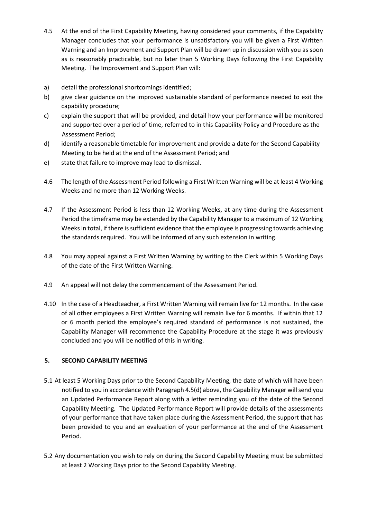- 4.5 At the end of the First Capability Meeting, having considered your comments, if the Capability Manager concludes that your performance is unsatisfactory you will be given a First Written Warning and an Improvement and Support Plan will be drawn up in discussion with you as soon as is reasonably practicable, but no later than 5 Working Days following the First Capability Meeting. The Improvement and Support Plan will:
- a) detail the professional shortcomings identified;
- b) give clear guidance on the improved sustainable standard of performance needed to exit the capability procedure;
- c) explain the support that will be provided, and detail how your performance will be monitored and supported over a period of time, referred to in this Capability Policy and Procedure as the Assessment Period;
- d) identify a reasonable timetable for improvement and provide a date for the Second Capability Meeting to be held at the end of the Assessment Period; and
- e) state that failure to improve may lead to dismissal.
- 4.6 The length of the Assessment Period following a First Written Warning will be at least 4 Working Weeks and no more than 12 Working Weeks.
- 4.7 If the Assessment Period is less than 12 Working Weeks, at any time during the Assessment Period the timeframe may be extended by the Capability Manager to a maximum of 12 Working Weeks in total, if there is sufficient evidence that the employee is progressing towards achieving the standards required. You will be informed of any such extension in writing.
- 4.8 You may appeal against a First Written Warning by writing to the Clerk within 5 Working Days of the date of the First Written Warning.
- 4.9 An appeal will not delay the commencement of the Assessment Period.
- 4.10 In the case of a Headteacher, a First Written Warning will remain live for 12 months. In the case of all other employees a First Written Warning will remain live for 6 months. If within that 12 or 6 month period the employee's required standard of performance is not sustained, the Capability Manager will recommence the Capability Procedure at the stage it was previously concluded and you will be notified of this in writing.

## **5. SECOND CAPABILITY MEETING**

- 5.1 At least 5 Working Days prior to the Second Capability Meeting, the date of which will have been notified to you in accordance with Paragraph 4.5(d) above, the Capability Manager will send you an Updated Performance Report along with a letter reminding you of the date of the Second Capability Meeting. The Updated Performance Report will provide details of the assessments of your performance that have taken place during the Assessment Period, the support that has been provided to you and an evaluation of your performance at the end of the Assessment Period.
- 5.2 Any documentation you wish to rely on during the Second Capability Meeting must be submitted at least 2 Working Days prior to the Second Capability Meeting.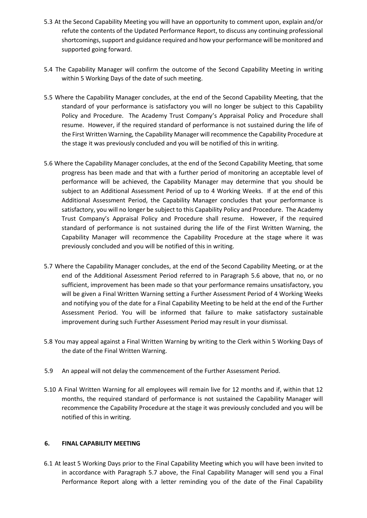- 5.3 At the Second Capability Meeting you will have an opportunity to comment upon, explain and/or refute the contents of the Updated Performance Report, to discuss any continuing professional shortcomings, support and guidance required and how your performance will be monitored and supported going forward.
- 5.4 The Capability Manager will confirm the outcome of the Second Capability Meeting in writing within 5 Working Days of the date of such meeting.
- 5.5 Where the Capability Manager concludes, at the end of the Second Capability Meeting, that the standard of your performance is satisfactory you will no longer be subject to this Capability Policy and Procedure. The Academy Trust Company's Appraisal Policy and Procedure shall resume. However, if the required standard of performance is not sustained during the life of the First Written Warning, the Capability Manager will recommence the Capability Procedure at the stage it was previously concluded and you will be notified of this in writing.
- 5.6 Where the Capability Manager concludes, at the end of the Second Capability Meeting, that some progress has been made and that with a further period of monitoring an acceptable level of performance will be achieved, the Capability Manager may determine that you should be subject to an Additional Assessment Period of up to 4 Working Weeks. If at the end of this Additional Assessment Period, the Capability Manager concludes that your performance is satisfactory, you will no longer be subject to this Capability Policy and Procedure. The Academy Trust Company's Appraisal Policy and Procedure shall resume. However, if the required standard of performance is not sustained during the life of the First Written Warning, the Capability Manager will recommence the Capability Procedure at the stage where it was previously concluded and you will be notified of this in writing.
- 5.7 Where the Capability Manager concludes, at the end of the Second Capability Meeting, or at the end of the Additional Assessment Period referred to in Paragraph 5.6 above, that no, or no sufficient, improvement has been made so that your performance remains unsatisfactory, you will be given a Final Written Warning setting a Further Assessment Period of 4 Working Weeks and notifying you of the date for a Final Capability Meeting to be held at the end of the Further Assessment Period. You will be informed that failure to make satisfactory sustainable improvement during such Further Assessment Period may result in your dismissal.
- 5.8 You may appeal against a Final Written Warning by writing to the Clerk within 5 Working Days of the date of the Final Written Warning.
- 5.9 An appeal will not delay the commencement of the Further Assessment Period.
- 5.10 A Final Written Warning for all employees will remain live for 12 months and if, within that 12 months, the required standard of performance is not sustained the Capability Manager will recommence the Capability Procedure at the stage it was previously concluded and you will be notified of this in writing.

## **6. FINAL CAPABILITY MEETING**

6.1 At least 5 Working Days prior to the Final Capability Meeting which you will have been invited to in accordance with Paragraph 5.7 above, the Final Capability Manager will send you a Final Performance Report along with a letter reminding you of the date of the Final Capability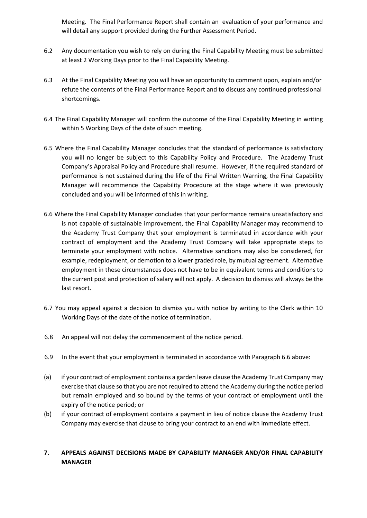Meeting. The Final Performance Report shall contain an evaluation of your performance and will detail any support provided during the Further Assessment Period.

- 6.2 Any documentation you wish to rely on during the Final Capability Meeting must be submitted at least 2 Working Days prior to the Final Capability Meeting.
- 6.3 At the Final Capability Meeting you will have an opportunity to comment upon, explain and/or refute the contents of the Final Performance Report and to discuss any continued professional shortcomings.
- 6.4 The Final Capability Manager will confirm the outcome of the Final Capability Meeting in writing within 5 Working Days of the date of such meeting.
- 6.5 Where the Final Capability Manager concludes that the standard of performance is satisfactory you will no longer be subject to this Capability Policy and Procedure. The Academy Trust Company's Appraisal Policy and Procedure shall resume. However, if the required standard of performance is not sustained during the life of the Final Written Warning, the Final Capability Manager will recommence the Capability Procedure at the stage where it was previously concluded and you will be informed of this in writing.
- 6.6 Where the Final Capability Manager concludes that your performance remains unsatisfactory and is not capable of sustainable improvement, the Final Capability Manager may recommend to the Academy Trust Company that your employment is terminated in accordance with your contract of employment and the Academy Trust Company will take appropriate steps to terminate your employment with notice. Alternative sanctions may also be considered, for example, redeployment, or demotion to a lower graded role, by mutual agreement. Alternative employment in these circumstances does not have to be in equivalent terms and conditions to the current post and protection of salary will not apply. A decision to dismiss will always be the last resort.
- 6.7 You may appeal against a decision to dismiss you with notice by writing to the Clerk within 10 Working Days of the date of the notice of termination.
- 6.8 An appeal will not delay the commencement of the notice period.
- 6.9 In the event that your employment is terminated in accordance with Paragraph 6.6 above:
- (a) if your contract of employment contains a garden leave clause the Academy Trust Company may exercise that clause so that you are not required to attend the Academy during the notice period but remain employed and so bound by the terms of your contract of employment until the expiry of the notice period; or
- (b) if your contract of employment contains a payment in lieu of notice clause the Academy Trust Company may exercise that clause to bring your contract to an end with immediate effect.

## **7. APPEALS AGAINST DECISIONS MADE BY CAPABILITY MANAGER AND/OR FINAL CAPABILITY MANAGER**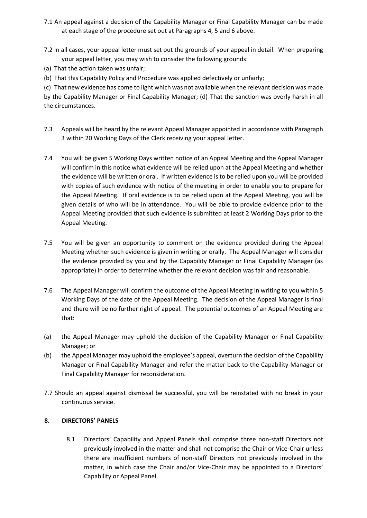- 7.1 An appeal against a decision of the Capability Manager or Final Capability Manager can be made at each stage of the procedure set out at Paragraphs 4, 5 and 6 above.
- 7.2 In all cases, your appeal letter must set out the grounds of your appeal in detail. When preparing your appeal letter, you may wish to consider the following grounds:
- (a) That the action taken was unfair;
- (b) That this Capability Policy and Procedure was applied defectively or unfairly;

(c) That new evidence has come to light which was not available when the relevant decision was made by the Capability Manager or Final Capability Manager; (d) That the sanction was overly harsh in all the circumstances.

- 7.3 Appeals will be heard by the relevant Appeal Manager appointed in accordance with Paragraph 3 within 20 Working Days of the Clerk receiving your appeal letter.
- 7.4 You will be given 5 Working Days written notice of an Appeal Meeting and the Appeal Manager will confirm in this notice what evidence will be relied upon at the Appeal Meeting and whether the evidence will be written or oral. If written evidence is to be relied upon you will be provided with copies of such evidence with notice of the meeting in order to enable you to prepare for the Appeal Meeting. If oral evidence is to be relied upon at the Appeal Meeting, you will be given details of who will be in attendance. You will be able to provide evidence prior to the Appeal Meeting provided that such evidence is submitted at least 2 Working Days prior to the Appeal Meeting.
- 7.5 You will be given an opportunity to comment on the evidence provided during the Appeal Meeting whether such evidence is given in writing or orally. The Appeal Manager will consider the evidence provided by you and by the Capability Manager or Final Capability Manager (as appropriate) in order to determine whether the relevant decision was fair and reasonable.
- 7.6 The Appeal Manager will confirm the outcome of the Appeal Meeting in writing to you within 5 Working Days of the date of the Appeal Meeting. The decision of the Appeal Manager is final and there will be no further right of appeal. The potential outcomes of an Appeal Meeting are that:
- (a) the Appeal Manager may uphold the decision of the Capability Manager or Final Capability Manager; or
- (b) the Appeal Manager may uphold the employee's appeal, overturn the decision of the Capability Manager or Final Capability Manager and refer the matter back to the Capability Manager or Final Capability Manager for reconsideration.
- 7.7 Should an appeal against dismissal be successful, you will be reinstated with no break in your continuous service.

## **8. DIRECTORS' PANELS**

8.1 Directors' Capability and Appeal Panels shall comprise three non-staff Directors not previously involved in the matter and shall not comprise the Chair or Vice-Chair unless there are insufficient numbers of non-staff Directors not previously involved in the matter, in which case the Chair and/or Vice-Chair may be appointed to a Directors' Capability or Appeal Panel.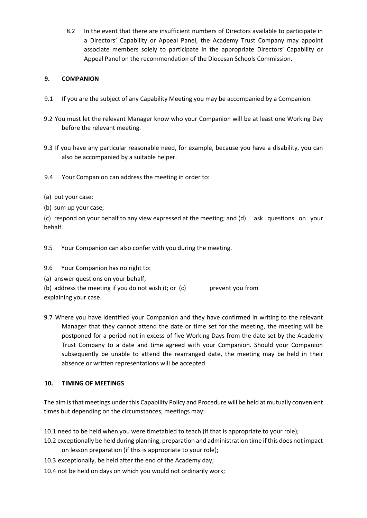8.2 In the event that there are insufficient numbers of Directors available to participate in a Directors' Capability or Appeal Panel, the Academy Trust Company may appoint associate members solely to participate in the appropriate Directors' Capability or Appeal Panel on the recommendation of the Diocesan Schools Commission.

## **9. COMPANION**

- 9.1 If you are the subject of any Capability Meeting you may be accompanied by a Companion.
- 9.2 You must let the relevant Manager know who your Companion will be at least one Working Day before the relevant meeting.
- 9.3 If you have any particular reasonable need, for example, because you have a disability, you can also be accompanied by a suitable helper.
- 9.4 Your Companion can address the meeting in order to:
- (a) put your case;
- (b) sum up your case;

(c) respond on your behalf to any view expressed at the meeting; and (d) ask questions on your behalf.

9.5 Your Companion can also confer with you during the meeting.

- 9.6 Your Companion has no right to:
- (a) answer questions on your behalf;

(b) address the meeting if you do not wish it; or  $(c)$  prevent you from explaining your case.

9.7 Where you have identified your Companion and they have confirmed in writing to the relevant Manager that they cannot attend the date or time set for the meeting, the meeting will be postponed for a period not in excess of five Working Days from the date set by the Academy Trust Company to a date and time agreed with your Companion. Should your Companion subsequently be unable to attend the rearranged date, the meeting may be held in their absence or written representations will be accepted.

# **10. TIMING OF MEETINGS**

The aim is that meetings under this Capability Policy and Procedure will be held at mutually convenient times but depending on the circumstances, meetings may:

10.1 need to be held when you were timetabled to teach (if that is appropriate to your role);

- 10.2 exceptionally be held during planning, preparation and administration time if this does not impact on lesson preparation (if this is appropriate to your role);
- 10.3 exceptionally, be held after the end of the Academy day;
- 10.4 not be held on days on which you would not ordinarily work;